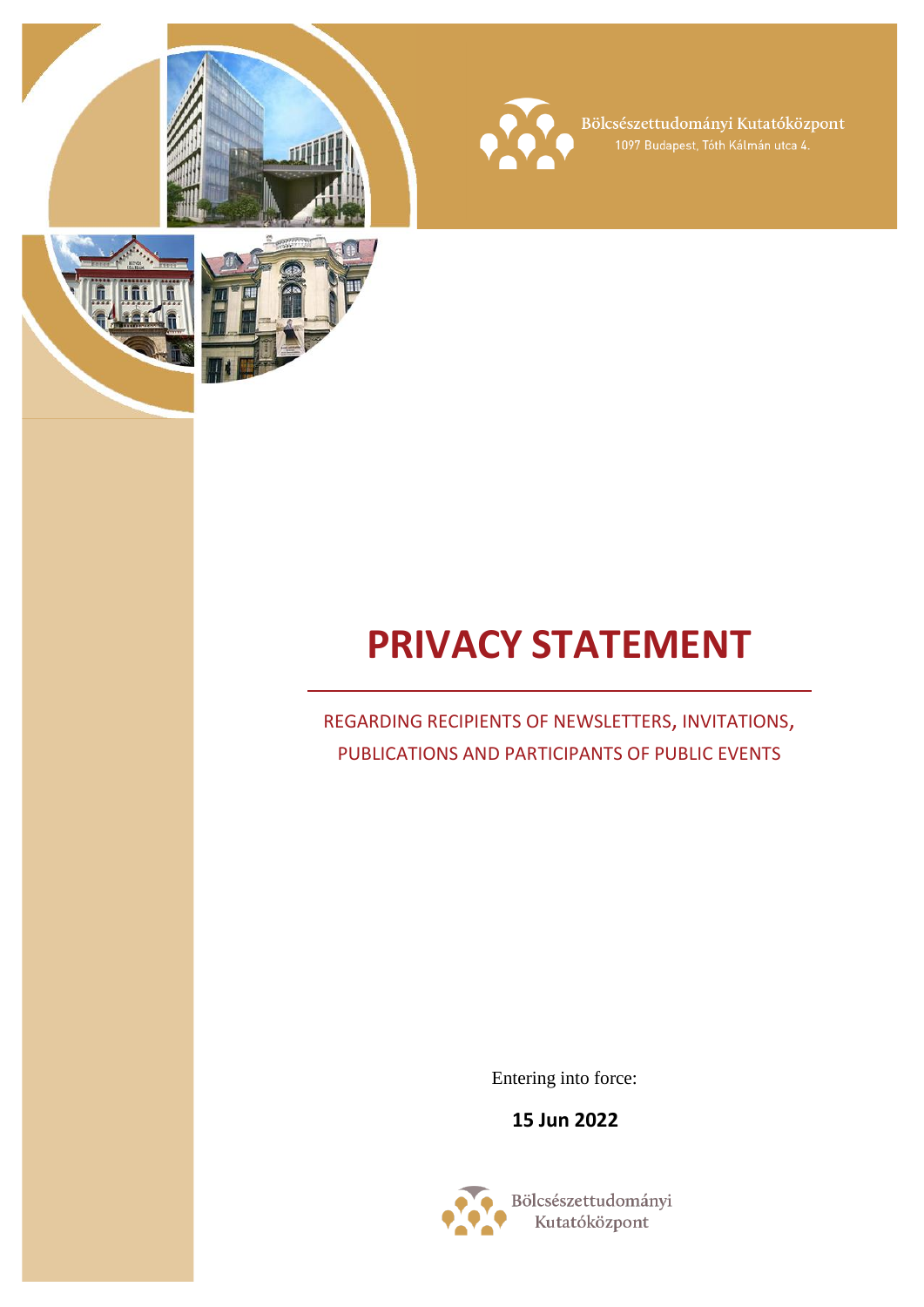



Bölcsészettudományi Kutatóközpont<br>1097 Budapest, Tóth Kálmán utca 4.





# **PRIVACY STATEMENT**

# REGARDING RECIPIENTS OF NEWSLETTERS, INVITATIONS, PUBLICATIONS AND PARTICIPANTS OF PUBLIC EVENTS

Entering into force:

**15 Jun 2022**

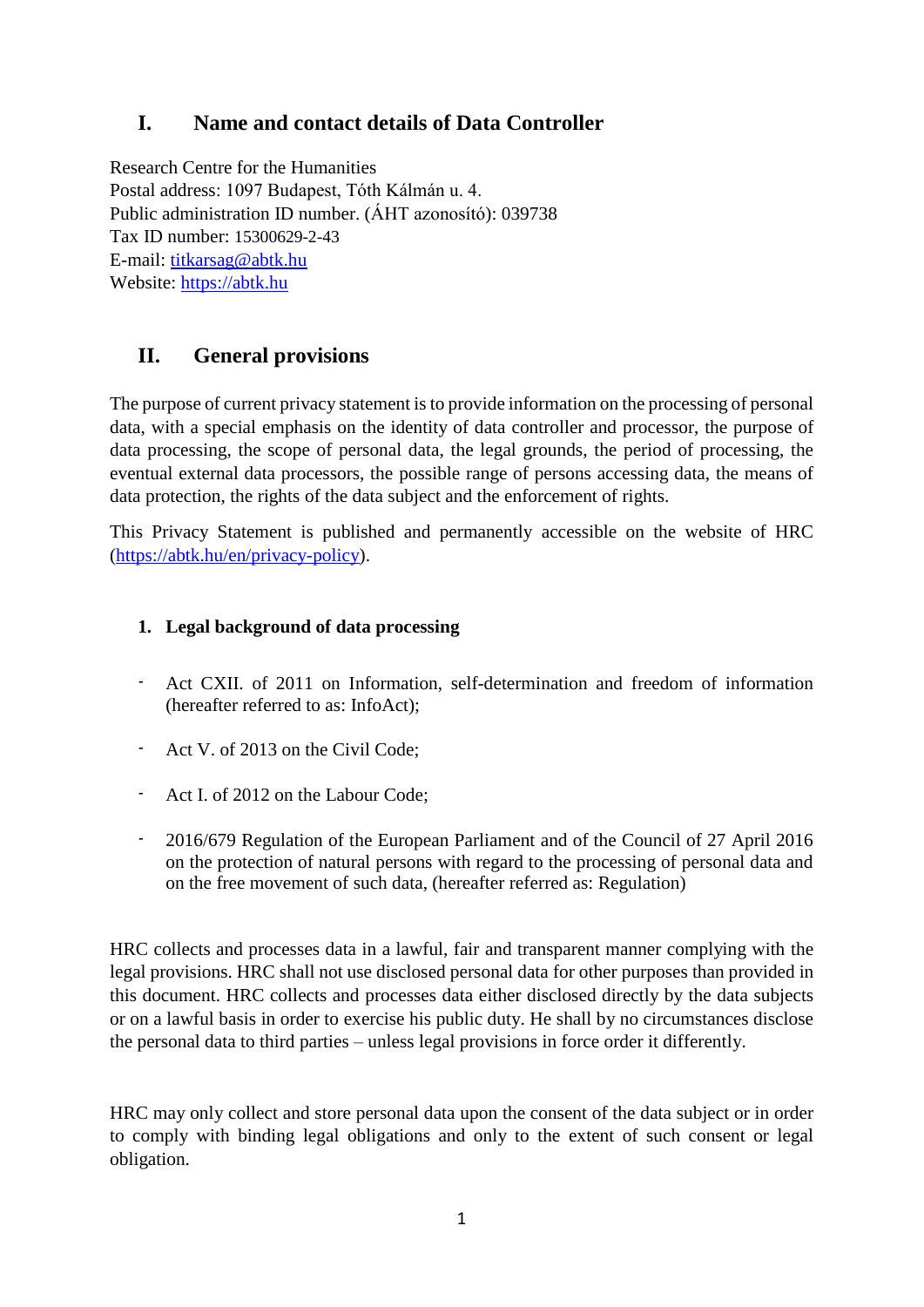# **I. Name and contact details of Data Controller**

Research Centre for the Humanities Postal address: 1097 Budapest, Tóth Kálmán u. 4. Public administration ID number. (ÁHT azonosító): 039738 Tax ID number: 15300629-2-43 E-mail: [titkarsag@abtk.hu](mailto:titkarsag@abtk.hu) Website: [https://abtk.hu](https://abtk.hu/)

# **II. General provisions**

The purpose of current privacy statement is to provide information on the processing of personal data, with a special emphasis on the identity of data controller and processor, the purpose of data processing, the scope of personal data, the legal grounds, the period of processing, the eventual external data processors, the possible range of persons accessing data, the means of data protection, the rights of the data subject and the enforcement of rights.

This Privacy Statement is published and permanently accessible on the website of HRC [\(https://abtk.hu/en/privacy-policy\)](https://abtk.hu/en/privacy-policy).

#### **1. Legal background of data processing**

- Act CXII. of 2011 on Information, self-determination and freedom of information (hereafter referred to as: InfoAct);
- Act V. of 2013 on the Civil Code;
- Act I. of 2012 on the Labour Code;
- 2016/679 Regulation of the European Parliament and of the Council of 27 April 2016 on the protection of natural persons with regard to the processing of personal data and on the free movement of such data, (hereafter referred as: Regulation)

HRC collects and processes data in a lawful, fair and transparent manner complying with the legal provisions. HRC shall not use disclosed personal data for other purposes than provided in this document. HRC collects and processes data either disclosed directly by the data subjects or on a lawful basis in order to exercise his public duty. He shall by no circumstances disclose the personal data to third parties – unless legal provisions in force order it differently.

HRC may only collect and store personal data upon the consent of the data subject or in order to comply with binding legal obligations and only to the extent of such consent or legal obligation.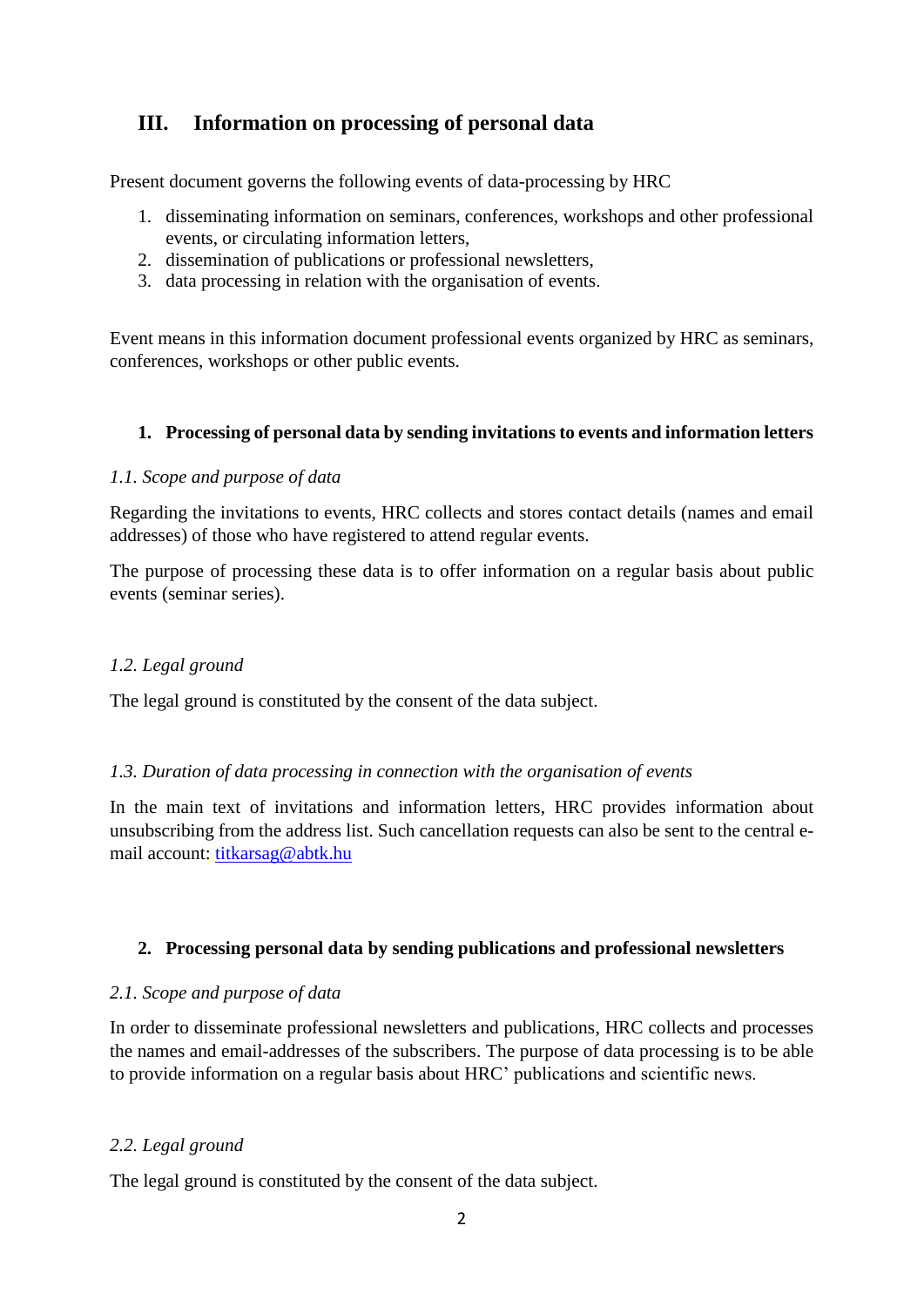## **III. Information on processing of personal data**

Present document governs the following events of data-processing by HRC

- 1. disseminating information on seminars, conferences, workshops and other professional events, or circulating information letters,
- 2. dissemination of publications or professional newsletters,
- 3. data processing in relation with the organisation of events.

Event means in this information document professional events organized by HRC as seminars, conferences, workshops or other public events.

#### **1. Processing of personal data by sending invitations to events and information letters**

#### *1.1. Scope and purpose of data*

Regarding the invitations to events, HRC collects and stores contact details (names and email addresses) of those who have registered to attend regular events.

The purpose of processing these data is to offer information on a regular basis about public events (seminar series).

#### *1.2. Legal ground*

The legal ground is constituted by the consent of the data subject.

#### *1.3. Duration of data processing in connection with the organisation of events*

In the main text of invitations and information letters, HRC provides information about unsubscribing from the address list. Such cancellation requests can also be sent to the central email account: [titkarsag@abtk.hu](mailto:titkarsag@abtk.hu)

#### **2. Processing personal data by sending publications and professional newsletters**

#### *2.1. Scope and purpose of data*

In order to disseminate professional newsletters and publications, HRC collects and processes the names and email-addresses of the subscribers. The purpose of data processing is to be able to provide information on a regular basis about HRC' publications and scientific news.

#### *2.2. Legal ground*

The legal ground is constituted by the consent of the data subject.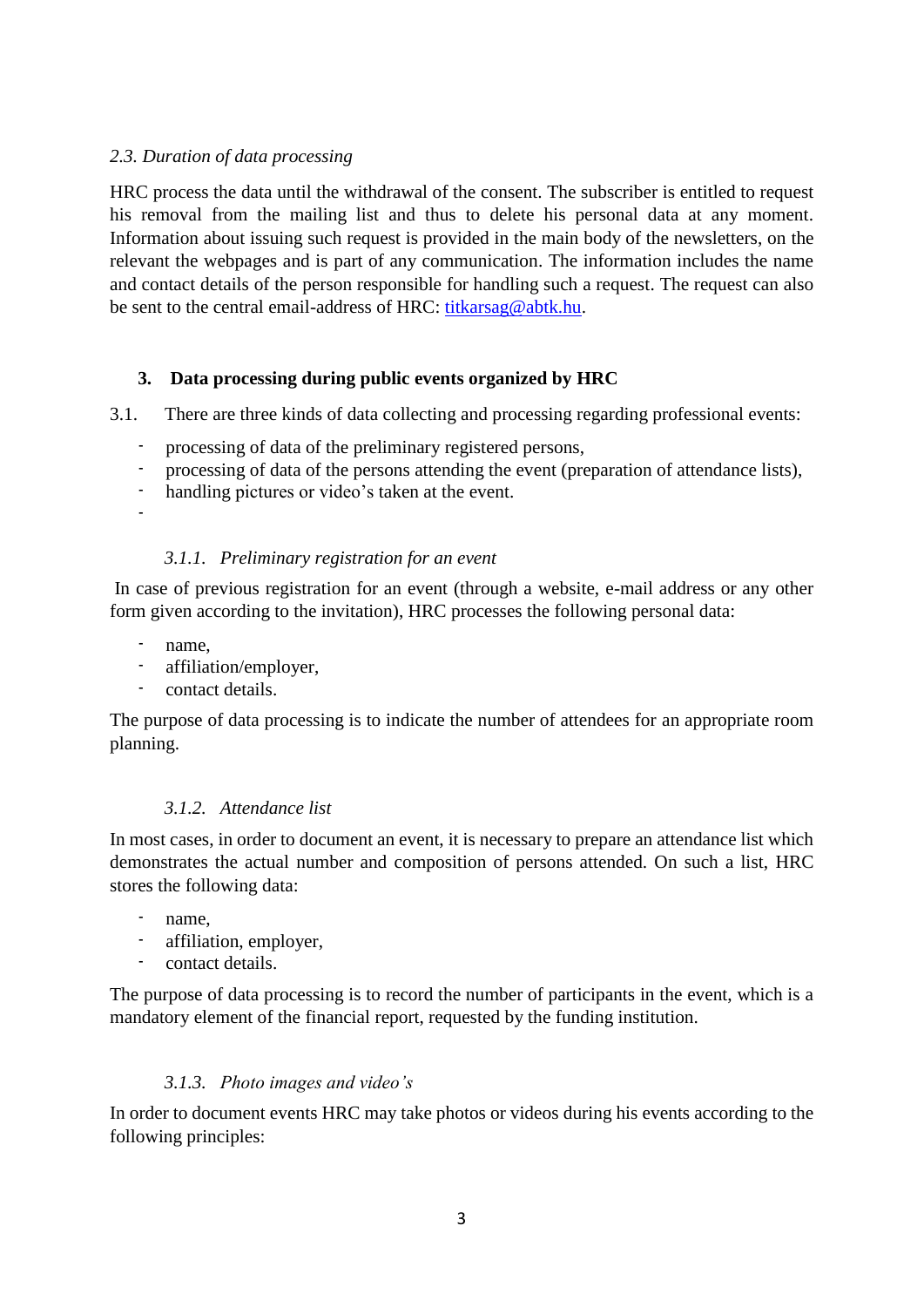#### *2.3. Duration of data processing*

HRC process the data until the withdrawal of the consent. The subscriber is entitled to request his removal from the mailing list and thus to delete his personal data at any moment. Information about issuing such request is provided in the main body of the newsletters, on the relevant the webpages and is part of any communication. The information includes the name and contact details of the person responsible for handling such a request. The request can also be sent to the central email-address of HRC: [titkarsag@abtk.hu.](mailto:titkarsag@abtk.hu)

#### **3. Data processing during public events organized by HRC**

3.1. There are three kinds of data collecting and processing regarding professional events:

- processing of data of the preliminary registered persons,
- processing of data of the persons attending the event (preparation of attendance lists),
- handling pictures or video's taken at the event.
- -

#### *3.1.1. Preliminary registration for an event*

In case of previous registration for an event (through a website, e-mail address or any other form given according to the invitation), HRC processes the following personal data:

- name.
- affiliation/employer,
- contact details.

The purpose of data processing is to indicate the number of attendees for an appropriate room planning.

#### *3.1.2. Attendance list*

In most cases, in order to document an event, it is necessary to prepare an attendance list which demonstrates the actual number and composition of persons attended. On such a list, HRC stores the following data:

- name.
- affiliation, employer,
- contact details.

The purpose of data processing is to record the number of participants in the event, which is a mandatory element of the financial report, requested by the funding institution.

#### *3.1.3. Photo images and video's*

In order to document events HRC may take photos or videos during his events according to the following principles: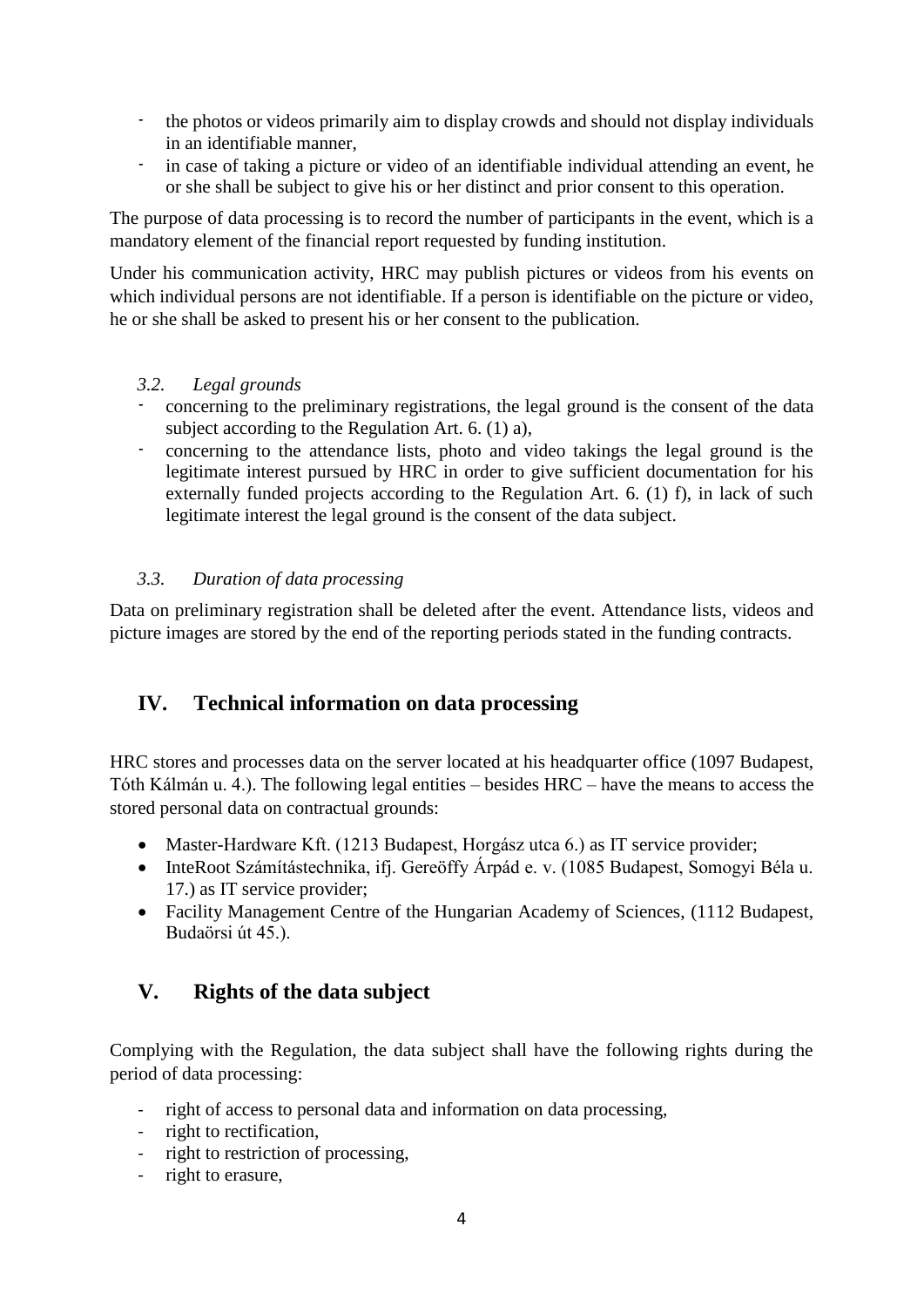- the photos or videos primarily aim to display crowds and should not display individuals in an identifiable manner,
- in case of taking a picture or video of an identifiable individual attending an event, he or she shall be subject to give his or her distinct and prior consent to this operation.

The purpose of data processing is to record the number of participants in the event, which is a mandatory element of the financial report requested by funding institution.

Under his communication activity, HRC may publish pictures or videos from his events on which individual persons are not identifiable. If a person is identifiable on the picture or video, he or she shall be asked to present his or her consent to the publication.

- *3.2. Legal grounds*
- concerning to the preliminary registrations, the legal ground is the consent of the data subject according to the Regulation Art. 6. (1) a),
- concerning to the attendance lists, photo and video takings the legal ground is the legitimate interest pursued by HRC in order to give sufficient documentation for his externally funded projects according to the Regulation Art. 6. (1) f), in lack of such legitimate interest the legal ground is the consent of the data subject.

#### *3.3. Duration of data processing*

Data on preliminary registration shall be deleted after the event. Attendance lists, videos and picture images are stored by the end of the reporting periods stated in the funding contracts.

### **IV. Technical information on data processing**

HRC stores and processes data on the server located at his headquarter office (1097 Budapest, Tóth Kálmán u. 4.). The following legal entities – besides HRC – have the means to access the stored personal data on contractual grounds:

- Master-Hardware Kft. (1213 Budapest, Horgász utca 6.) as IT service provider;
- InteRoot Számítástechnika, ifj. Gereöffy Árpád e. v. (1085 Budapest, Somogyi Béla u. 17.) as IT service provider;
- Facility Management Centre of the Hungarian Academy of Sciences, (1112 Budapest, Budaörsi út 45.).

# **V. Rights of the data subject**

Complying with the Regulation, the data subject shall have the following rights during the period of data processing:

- right of access to personal data and information on data processing,
- right to rectification,
- right to restriction of processing,
- right to erasure,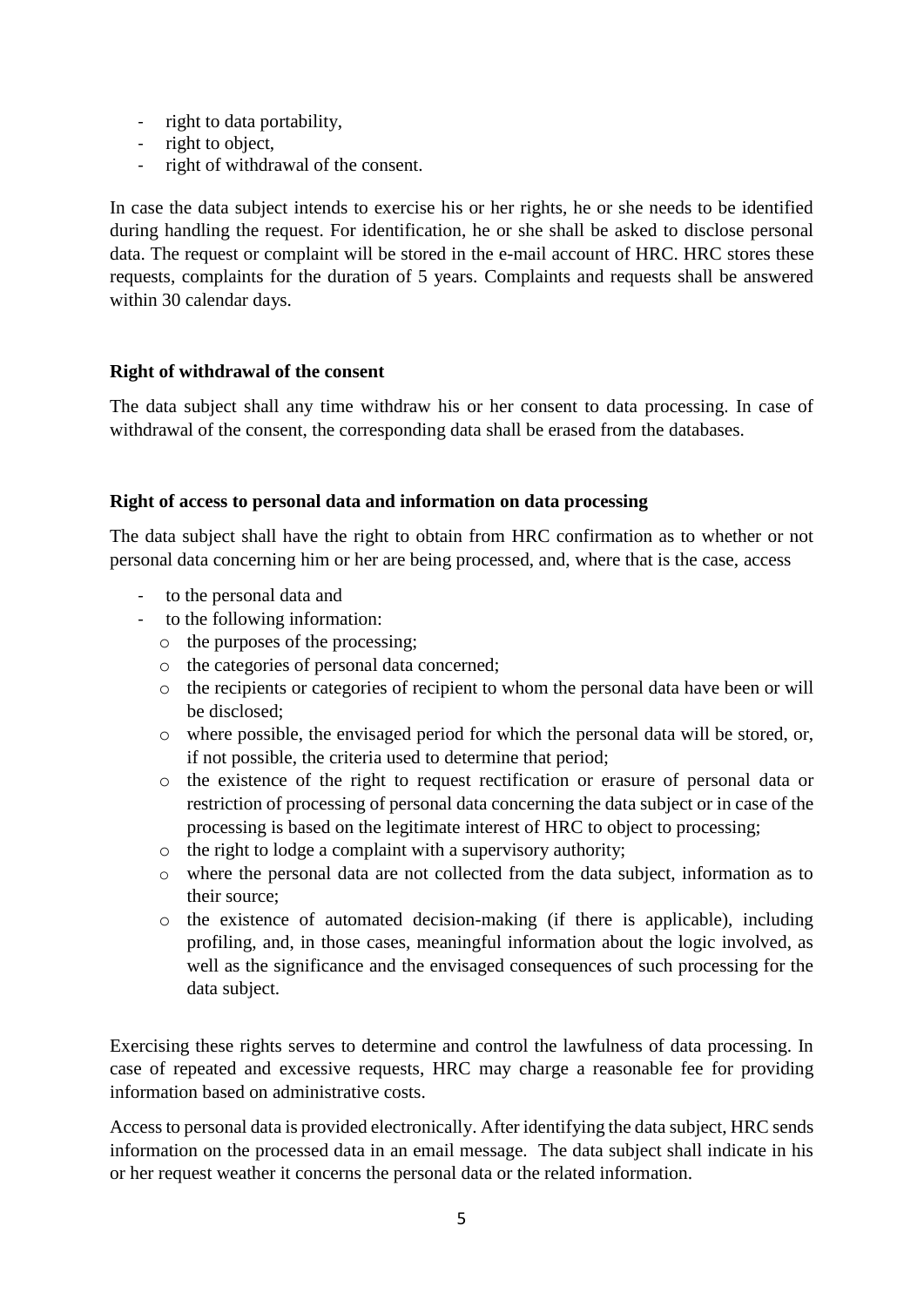- right to data portability,
- right to object.
- right of withdrawal of the consent.

In case the data subject intends to exercise his or her rights, he or she needs to be identified during handling the request. For identification, he or she shall be asked to disclose personal data. The request or complaint will be stored in the e-mail account of HRC. HRC stores these requests, complaints for the duration of 5 years. Complaints and requests shall be answered within 30 calendar days.

#### **Right of withdrawal of the consent**

The data subject shall any time withdraw his or her consent to data processing. In case of withdrawal of the consent, the corresponding data shall be erased from the databases.

#### **Right of access to personal data and information on data processing**

The data subject shall have the right to obtain from HRC confirmation as to whether or not personal data concerning him or her are being processed, and, where that is the case, access

- to the personal data and
- to the following information:
	- o the purposes of the processing;
	- o the categories of personal data concerned;
	- o the recipients or categories of recipient to whom the personal data have been or will be disclosed;
	- o where possible, the envisaged period for which the personal data will be stored, or, if not possible, the criteria used to determine that period;
	- o the existence of the right to request rectification or erasure of personal data or restriction of processing of personal data concerning the data subject or in case of the processing is based on the legitimate interest of HRC to object to processing;
	- o the right to lodge a complaint with a supervisory authority;
	- o where the personal data are not collected from the data subject, information as to their source;
	- o the existence of automated decision-making (if there is applicable), including profiling, and, in those cases, meaningful information about the logic involved, as well as the significance and the envisaged consequences of such processing for the data subject.

Exercising these rights serves to determine and control the lawfulness of data processing. In case of repeated and excessive requests, HRC may charge a reasonable fee for providing information based on administrative costs.

Access to personal data is provided electronically. After identifying the data subject, HRC sends information on the processed data in an email message. The data subject shall indicate in his or her request weather it concerns the personal data or the related information.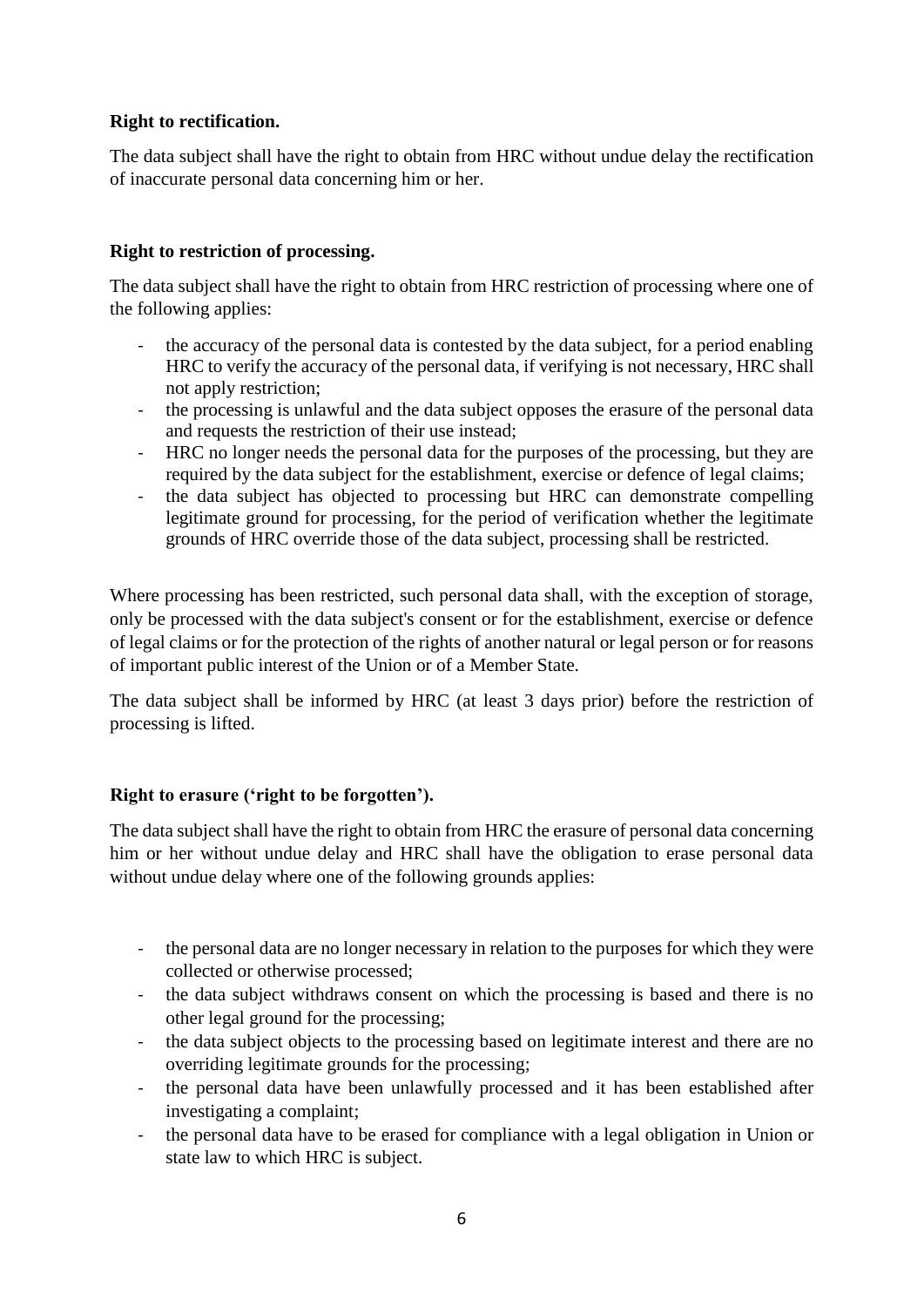#### **Right to rectification.**

The data subject shall have the right to obtain from HRC without undue delay the rectification of inaccurate personal data concerning him or her.

#### **Right to restriction of processing.**

The data subject shall have the right to obtain from HRC restriction of processing where one of the following applies:

- the accuracy of the personal data is contested by the data subject, for a period enabling HRC to verify the accuracy of the personal data, if verifying is not necessary, HRC shall not apply restriction;
- the processing is unlawful and the data subject opposes the erasure of the personal data and requests the restriction of their use instead;
- HRC no longer needs the personal data for the purposes of the processing, but they are required by the data subject for the establishment, exercise or defence of legal claims;
- the data subject has objected to processing but HRC can demonstrate compelling legitimate ground for processing, for the period of verification whether the legitimate grounds of HRC override those of the data subject, processing shall be restricted.

Where processing has been restricted, such personal data shall, with the exception of storage, only be processed with the data subject's consent or for the establishment, exercise or defence of legal claims or for the protection of the rights of another natural or legal person or for reasons of important public interest of the Union or of a Member State.

The data subject shall be informed by HRC (at least 3 days prior) before the restriction of processing is lifted.

#### **Right to erasure ('right to be forgotten').**

The data subject shall have the right to obtain from HRC the erasure of personal data concerning him or her without undue delay and HRC shall have the obligation to erase personal data without undue delay where one of the following grounds applies:

- the personal data are no longer necessary in relation to the purposes for which they were collected or otherwise processed;
- the data subject withdraws consent on which the processing is based and there is no other legal ground for the processing;
- the data subject objects to the processing based on legitimate interest and there are no overriding legitimate grounds for the processing;
- the personal data have been unlawfully processed and it has been established after investigating a complaint;
- the personal data have to be erased for compliance with a legal obligation in Union or state law to which HRC is subject.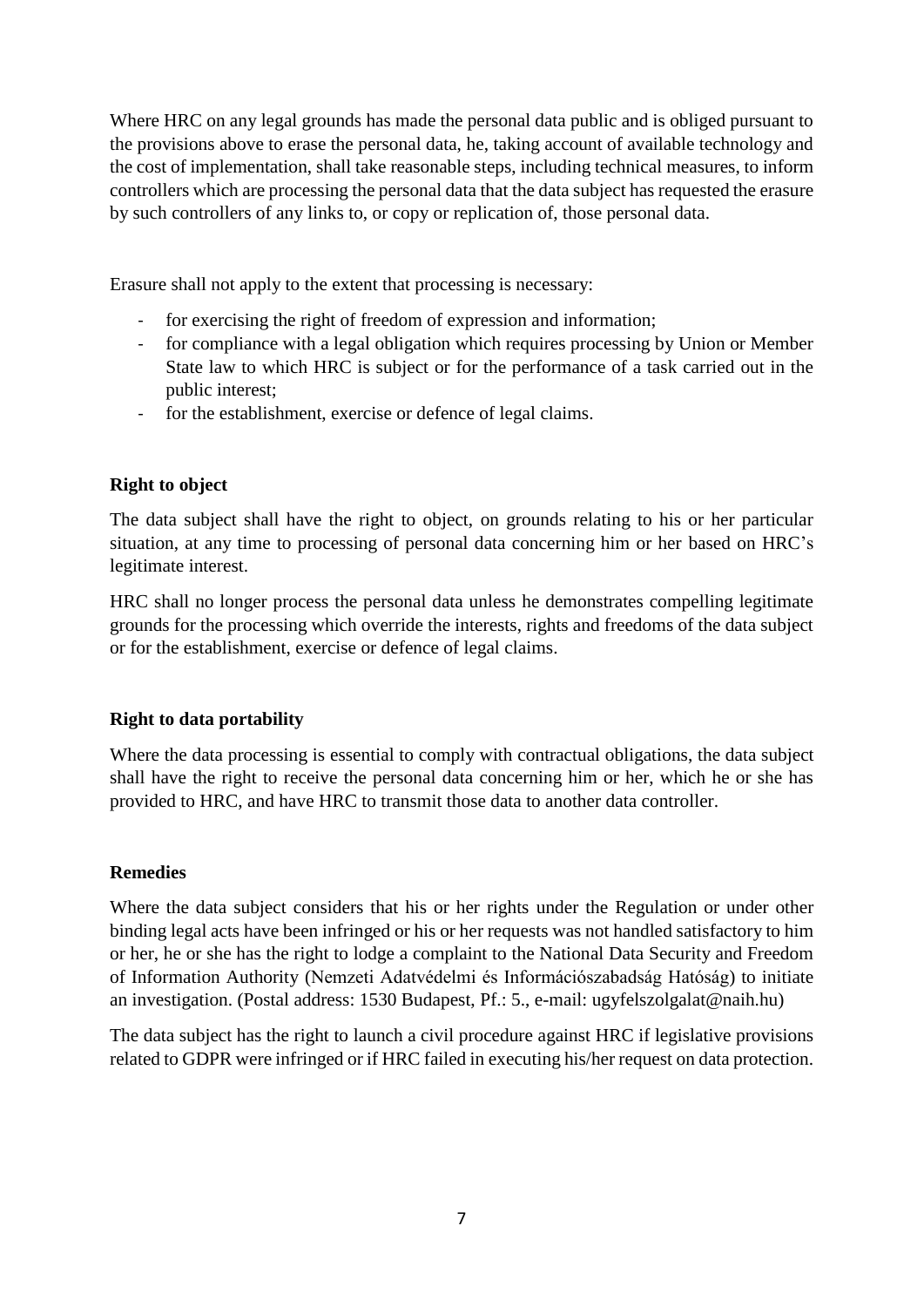Where HRC on any legal grounds has made the personal data public and is obliged pursuant to the provisions above to erase the personal data, he, taking account of available technology and the cost of implementation, shall take reasonable steps, including technical measures, to inform controllers which are processing the personal data that the data subject has requested the erasure by such controllers of any links to, or copy or replication of, those personal data.

Erasure shall not apply to the extent that processing is necessary:

- for exercising the right of freedom of expression and information;
- for compliance with a legal obligation which requires processing by Union or Member State law to which HRC is subject or for the performance of a task carried out in the public interest;
- for the establishment, exercise or defence of legal claims.

#### **Right to object**

The data subject shall have the right to object, on grounds relating to his or her particular situation, at any time to processing of personal data concerning him or her based on HRC's legitimate interest.

HRC shall no longer process the personal data unless he demonstrates compelling legitimate grounds for the processing which override the interests, rights and freedoms of the data subject or for the establishment, exercise or defence of legal claims.

#### **Right to data portability**

Where the data processing is essential to comply with contractual obligations, the data subject shall have the right to receive the personal data concerning him or her, which he or she has provided to HRC, and have HRC to transmit those data to another data controller.

#### **Remedies**

Where the data subject considers that his or her rights under the Regulation or under other binding legal acts have been infringed or his or her requests was not handled satisfactory to him or her, he or she has the right to lodge a complaint to the National Data Security and Freedom of Information Authority (Nemzeti Adatvédelmi és Információszabadság Hatóság) to initiate an investigation. (Postal address: 1530 Budapest, Pf.: 5., e-mail: ugyfelszolgalat@naih.hu)

The data subject has the right to launch a civil procedure against HRC if legislative provisions related to GDPR were infringed or if HRC failed in executing his/her request on data protection.